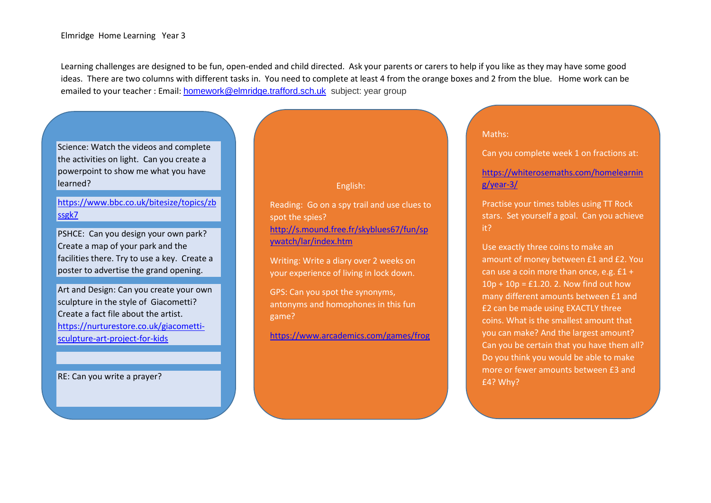Learning challenges are designed to be fun, open-ended and child directed. Ask your parents or carers to help if you like as they may have some good ideas. There are two columns with different tasks in. You need to complete at least 4 from the orange boxes and 2 from the blue. Home work can be emailed to your teacher : Email: [homework@elmridge.trafford.sch.uk](mailto:homework@elmridge.trafford.sch.uk) subject: year group

# Science: Watch the videos and complete the activities on light. Can you create a powerpoint to show me what you have learned?

# [https://www.bbc.co.uk/bitesize/topics/zb](https://www.bbc.co.uk/bitesize/topics/zbssgk7) [ssgk7](https://www.bbc.co.uk/bitesize/topics/zbssgk7)

PSHCE: Can you design your own park? Create a map of your park and the facilities there. Try to use a key. Create a poster to advertise the grand opening.

Art and Design: Can you create your own sculpture in the style of Giacometti? Create a fact file about the artist. [https://nurturestore.co.uk/giacometti](https://nurturestore.co.uk/giacometti-sculpture-art-project-for-kids)[sculpture-art-project-for-kids](https://nurturestore.co.uk/giacometti-sculpture-art-project-for-kids)

RE: Can you write a prayer?

### English:

Reading: Go on a spy trail and use clues to spot the spies? [http://s.mound.free.fr/skyblues67/fun/sp](http://s.mound.free.fr/skyblues67/fun/spywatch/lar/index.htm) [ywatch/lar/index.htm](http://s.mound.free.fr/skyblues67/fun/spywatch/lar/index.htm)

Writing: Write a diary over 2 weeks on your experience of living in lock down.

GPS: Can you spot the synonyms, antonyms and homophones in this fun game?

<https://www.arcademics.com/games/frog>

#### Maths:

Can you complete week 1 on fractions at:

### [https://whiterosemaths.com/homelearnin](https://whiterosemaths.com/homelearning/year-3/) [g/year-3/](https://whiterosemaths.com/homelearning/year-3/)

Practise your times tables using TT Rock stars. Set yourself a goal. Can you achieve it?

Use exactly three coins to make an amount of money between £1 and £2. You can use a coin more than once, e.g. £1 +  $10p + 10p = \text{\textsterling}1.20$ . 2. Now find out how many different amounts between £1 and £2 can be made using EXACTLY three coins. What is the smallest amount that you can make? And the largest amount? Can you be certain that you have them all? Do you think you would be able to make more or fewer amounts between £3 and £4? Why?